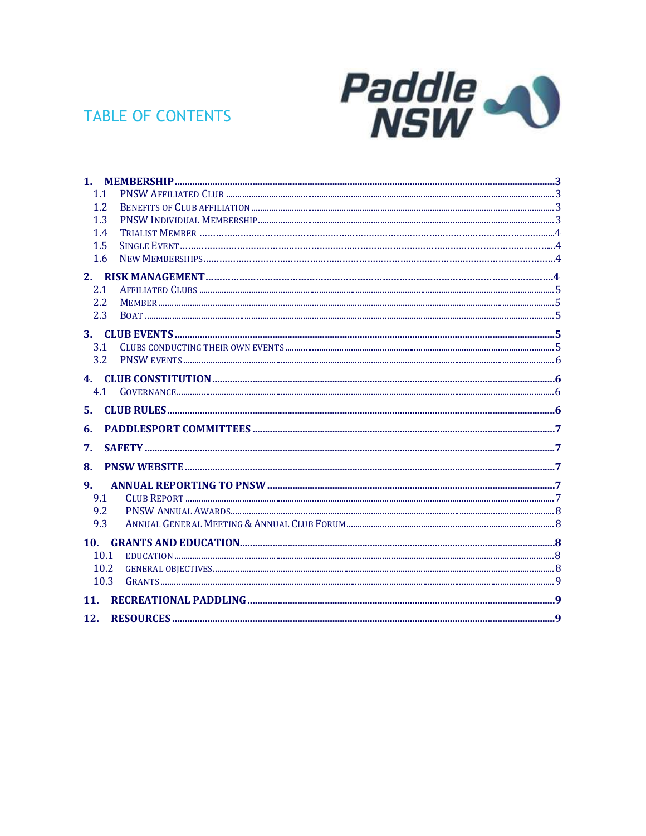# **TABLE OF CONTENTS**



| $\mathbf{1}$ . |  |
|----------------|--|
| 1.1            |  |
| 1.2            |  |
| 1.3            |  |
| 1.4            |  |
| 1.5            |  |
| 1.6            |  |
|                |  |
| 2.1            |  |
| 2.2            |  |
| 2.3            |  |
| 3.             |  |
| 3.1            |  |
| 3.2            |  |
| 4.             |  |
| 4.1            |  |
|                |  |
| 5.             |  |
| 6.             |  |
| 7.             |  |
| 8.             |  |
| $\mathbf{q}$ . |  |
| 9.1            |  |
| 9.2            |  |
| 9.3            |  |
| 10.            |  |
| 10.1           |  |
| 10.2           |  |
| 10.3           |  |
| 11.            |  |
| 12.            |  |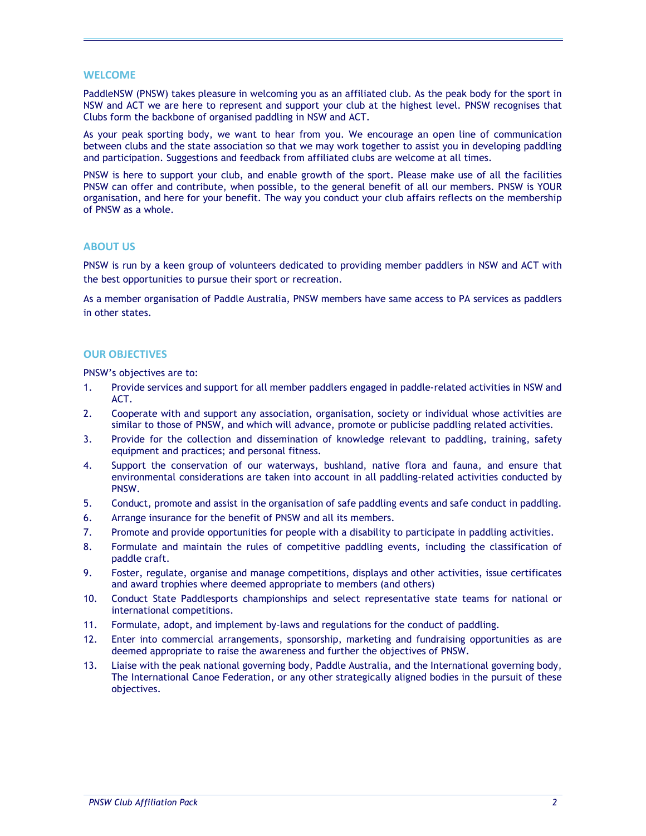#### WELCOME

PaddleNSW (PNSW) takes pleasure in welcoming you as an affiliated club. As the peak body for the sport in NSW and ACT we are here to represent and support your club at the highest level. PNSW recognises that Clubs form the backbone of organised paddling in NSW and ACT.

As your peak sporting body, we want to hear from you. We encourage an open line of communication between clubs and the state association so that we may work together to assist you in developing paddling and participation. Suggestions and feedback from affiliated clubs are welcome at all times.

PNSW is here to support your club, and enable growth of the sport. Please make use of all the facilities PNSW can offer and contribute, when possible, to the general benefit of all our members. PNSW is YOUR organisation, and here for your benefit. The way you conduct your club affairs reflects on the membership of PNSW as a whole.

#### ABOUT US

PNSW is run by a keen group of volunteers dedicated to providing member paddlers in NSW and ACT with the best opportunities to pursue their sport or recreation.

As a member organisation of Paddle Australia, PNSW members have same access to PA services as paddlers in other states.

#### OUR OBJECTIVES

PNSW's objectives are to:

- 1. Provide services and support for all member paddlers engaged in paddle-related activities in NSW and ACT.
- 2. Cooperate with and support any association, organisation, society or individual whose activities are similar to those of PNSW, and which will advance, promote or publicise paddling related activities.
- 3. Provide for the collection and dissemination of knowledge relevant to paddling, training, safety equipment and practices; and personal fitness.
- 4. Support the conservation of our waterways, bushland, native flora and fauna, and ensure that environmental considerations are taken into account in all paddling-related activities conducted by PNSW.
- 5. Conduct, promote and assist in the organisation of safe paddling events and safe conduct in paddling.
- 6. Arrange insurance for the benefit of PNSW and all its members.
- 7. Promote and provide opportunities for people with a disability to participate in paddling activities.
- 8. Formulate and maintain the rules of competitive paddling events, including the classification of paddle craft.
- 9. Foster, regulate, organise and manage competitions, displays and other activities, issue certificates and award trophies where deemed appropriate to members (and others)
- 10. Conduct State Paddlesports championships and select representative state teams for national or international competitions.
- 11. Formulate, adopt, and implement by-laws and regulations for the conduct of paddling.
- 12. Enter into commercial arrangements, sponsorship, marketing and fundraising opportunities as are deemed appropriate to raise the awareness and further the objectives of PNSW.
- 13. Liaise with the peak national governing body, Paddle Australia, and the International governing body, The International Canoe Federation, or any other strategically aligned bodies in the pursuit of these objectives.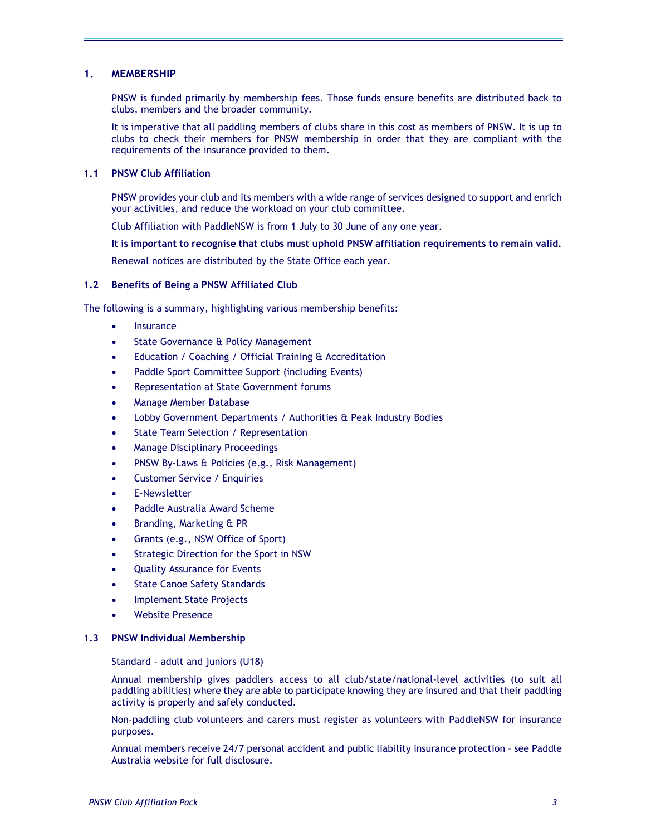### 1. MEMBERSHIP

PNSW is funded primarily by membership fees. Those funds ensure benefits are distributed back to clubs, members and the broader community.

It is imperative that all paddling members of clubs share in this cost as members of PNSW. It is up to clubs to check their members for PNSW membership in order that they are compliant with the requirements of the insurance provided to them.

#### 1.1 PNSW Club Affiliation

PNSW provides your club and its members with a wide range of services designed to support and enrich your activities, and reduce the workload on your club committee.

Club Affiliation with PaddleNSW is from 1 July to 30 June of any one year.

It is important to recognise that clubs must uphold PNSW affiliation requirements to remain valid.

Renewal notices are distributed by the State Office each year.

# 1.2 Benefits of Being a PNSW Affiliated Club

The following is a summary, highlighting various membership benefits:

- Insurance
- State Governance & Policy Management
- Education / Coaching / Official Training & Accreditation
- Paddle Sport Committee Support (including Events)
- Representation at State Government forums
- Manage Member Database
- Lobby Government Departments / Authorities & Peak Industry Bodies
- State Team Selection / Representation
- Manage Disciplinary Proceedings
- PNSW By-Laws & Policies (e.g., Risk Management)
- Customer Service / Enquiries
- E-Newsletter
- Paddle Australia Award Scheme
- Branding, Marketing & PR
- Grants (e.g., NSW Office of Sport)
- Strategic Direction for the Sport in NSW
- Quality Assurance for Events
- State Canoe Safety Standards
- Implement State Projects
- Website Presence

#### 1.3 PNSW Individual Membership

Standard - adult and juniors (U18)

Annual membership gives paddlers access to all club/state/national-level activities (to suit all paddling abilities) where they are able to participate knowing they are insured and that their paddling activity is properly and safely conducted.

Non-paddling club volunteers and carers must register as volunteers with PaddleNSW for insurance purposes.

Annual members receive 24/7 personal accident and public liability insurance protection – see Paddle Australia website for full disclosure.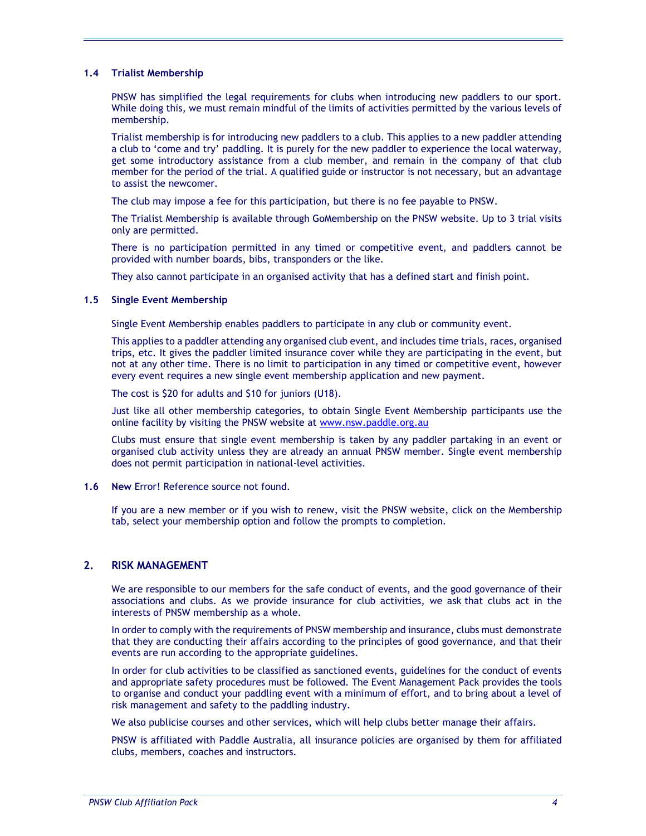#### 1.4 Trialist Membership

PNSW has simplified the legal requirements for clubs when introducing new paddlers to our sport. While doing this, we must remain mindful of the limits of activities permitted by the various levels of membership.

Trialist membership is for introducing new paddlers to a club. This applies to a new paddler attending a club to 'come and try' paddling. It is purely for the new paddler to experience the local waterway, get some introductory assistance from a club member, and remain in the company of that club member for the period of the trial. A qualified guide or instructor is not necessary, but an advantage to assist the newcomer.

The club may impose a fee for this participation, but there is no fee payable to PNSW.

The Trialist Membership is available through GoMembership on the PNSW website. Up to 3 trial visits only are permitted.

There is no participation permitted in any timed or competitive event, and paddlers cannot be provided with number boards, bibs, transponders or the like.

They also cannot participate in an organised activity that has a defined start and finish point.

#### 1.5 Single Event Membership

Single Event Membership enables paddlers to participate in any club or community event.

This applies to a paddler attending any organised club event, and includes time trials, races, organised trips, etc. It gives the paddler limited insurance cover while they are participating in the event, but not at any other time. There is no limit to participation in any timed or competitive event, however every event requires a new single event membership application and new payment.

The cost is \$20 for adults and \$10 for juniors (U18).

Just like all other membership categories, to obtain Single Event Membership participants use the online facility by visiting the PNSW website at www.nsw.paddle.org.au

Clubs must ensure that single event membership is taken by any paddler partaking in an event or organised club activity unless they are already an annual PNSW member. Single event membership does not permit participation in national-level activities.

#### 1.6 New Error! Reference source not found.

If you are a new member or if you wish to renew, visit the PNSW website, click on the Membership tab, select your membership option and follow the prompts to completion.

# 2. RISK MANAGEMENT

We are responsible to our members for the safe conduct of events, and the good governance of their associations and clubs. As we provide insurance for club activities, we ask that clubs act in the interests of PNSW membership as a whole.

In order to comply with the requirements of PNSW membership and insurance, clubs must demonstrate that they are conducting their affairs according to the principles of good governance, and that their events are run according to the appropriate guidelines.

In order for club activities to be classified as sanctioned events, guidelines for the conduct of events and appropriate safety procedures must be followed. The Event Management Pack provides the tools to organise and conduct your paddling event with a minimum of effort, and to bring about a level of risk management and safety to the paddling industry.

We also publicise courses and other services, which will help clubs better manage their affairs.

PNSW is affiliated with Paddle Australia, all insurance policies are organised by them for affiliated clubs, members, coaches and instructors.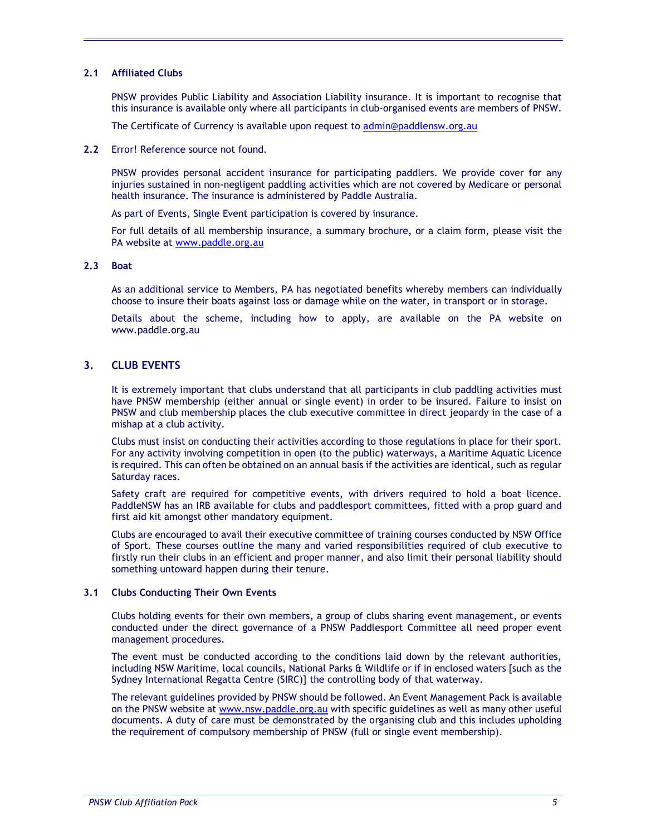#### 2.1 Affiliated Clubs

PNSW provides Public Liability and Association Liability insurance. It is important to recognise that this insurance is available only where all participants in club-organised events are members of PNSW.

The Certificate of Currency is available upon request to admin@paddlensw.org.au

2.2 Error! Reference source not found.

PNSW provides personal accident insurance for participating paddlers. We provide cover for any injuries sustained in non-negligent paddling activities which are not covered by Medicare or personal health insurance. The insurance is administered by Paddle Australia.

As part of Events, Single Event participation is covered by insurance.

For full details of all membership insurance, a summary brochure, or a claim form, please visit the PA website at www.paddle.org.au

#### 2.3 Boat

As an additional service to Members, PA has negotiated benefits whereby members can individually choose to insure their boats against loss or damage while on the water, in transport or in storage.

Details about the scheme, including how to apply, are available on the PA website on www.paddle.org.au

# 3. CLUB EVENTS

It is extremely important that clubs understand that all participants in club paddling activities must have PNSW membership (either annual or single event) in order to be insured. Failure to insist on PNSW and club membership places the club executive committee in direct jeopardy in the case of a mishap at a club activity.

Clubs must insist on conducting their activities according to those regulations in place for their sport. For any activity involving competition in open (to the public) waterways, a Maritime Aquatic Licence is required. This can often be obtained on an annual basis if the activities are identical, such as regular Saturday races.

Safety craft are required for competitive events, with drivers required to hold a boat licence. PaddleNSW has an IRB available for clubs and paddlesport committees, fitted with a prop guard and first aid kit amongst other mandatory equipment.

Clubs are encouraged to avail their executive committee of training courses conducted by NSW Office of Sport. These courses outline the many and varied responsibilities required of club executive to firstly run their clubs in an efficient and proper manner, and also limit their personal liability should something untoward happen during their tenure.

#### 3.1 Clubs Conducting Their Own Events

Clubs holding events for their own members, a group of clubs sharing event management, or events conducted under the direct governance of a PNSW Paddlesport Committee all need proper event management procedures.

The event must be conducted according to the conditions laid down by the relevant authorities, including NSW Maritime, local councils, National Parks & Wildlife or if in enclosed waters [such as the Sydney International Regatta Centre (SIRC)] the controlling body of that waterway.

The relevant guidelines provided by PNSW should be followed. An Event Management Pack is available on the PNSW website at www.nsw.paddle.org.au with specific guidelines as well as many other useful documents. A duty of care must be demonstrated by the organising club and this includes upholding the requirement of compulsory membership of PNSW (full or single event membership).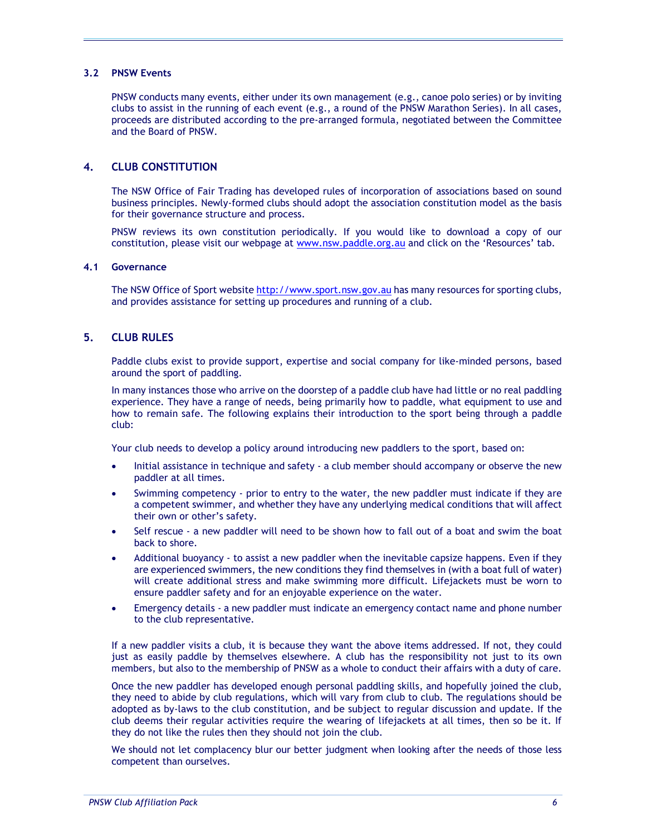#### 3.2 PNSW Events

PNSW conducts many events, either under its own management (e.g., canoe polo series) or by inviting clubs to assist in the running of each event (e.g., a round of the PNSW Marathon Series). In all cases, proceeds are distributed according to the pre-arranged formula, negotiated between the Committee and the Board of PNSW.

# 4. CLUB CONSTITUTION

The NSW Office of Fair Trading has developed rules of incorporation of associations based on sound business principles. Newly-formed clubs should adopt the association constitution model as the basis for their governance structure and process.

PNSW reviews its own constitution periodically. If you would like to download a copy of our constitution, please visit our webpage at www.nsw.paddle.org.au and click on the 'Resources' tab.

#### 4.1 Governance

The NSW Office of Sport website http://www.sport.nsw.gov.au has many resources for sporting clubs, and provides assistance for setting up procedures and running of a club.

# 5. CLUB RULES

Paddle clubs exist to provide support, expertise and social company for like-minded persons, based around the sport of paddling.

In many instances those who arrive on the doorstep of a paddle club have had little or no real paddling experience. They have a range of needs, being primarily how to paddle, what equipment to use and how to remain safe. The following explains their introduction to the sport being through a paddle club:

Your club needs to develop a policy around introducing new paddlers to the sport, based on:

- Initial assistance in technique and safety a club member should accompany or observe the new paddler at all times.
- Swimming competency prior to entry to the water, the new paddler must indicate if they are a competent swimmer, and whether they have any underlying medical conditions that will affect their own or other's safety.
- Self rescue a new paddler will need to be shown how to fall out of a boat and swim the boat back to shore.
- Additional buoyancy to assist a new paddler when the inevitable capsize happens. Even if they are experienced swimmers, the new conditions they find themselves in (with a boat full of water) will create additional stress and make swimming more difficult. Lifejackets must be worn to ensure paddler safety and for an enjoyable experience on the water.
- Emergency details a new paddler must indicate an emergency contact name and phone number to the club representative.

If a new paddler visits a club, it is because they want the above items addressed. If not, they could just as easily paddle by themselves elsewhere. A club has the responsibility not just to its own members, but also to the membership of PNSW as a whole to conduct their affairs with a duty of care.

Once the new paddler has developed enough personal paddling skills, and hopefully joined the club, they need to abide by club regulations, which will vary from club to club. The regulations should be adopted as by-laws to the club constitution, and be subject to regular discussion and update. If the club deems their regular activities require the wearing of lifejackets at all times, then so be it. If they do not like the rules then they should not join the club.

We should not let complacency blur our better judgment when looking after the needs of those less competent than ourselves.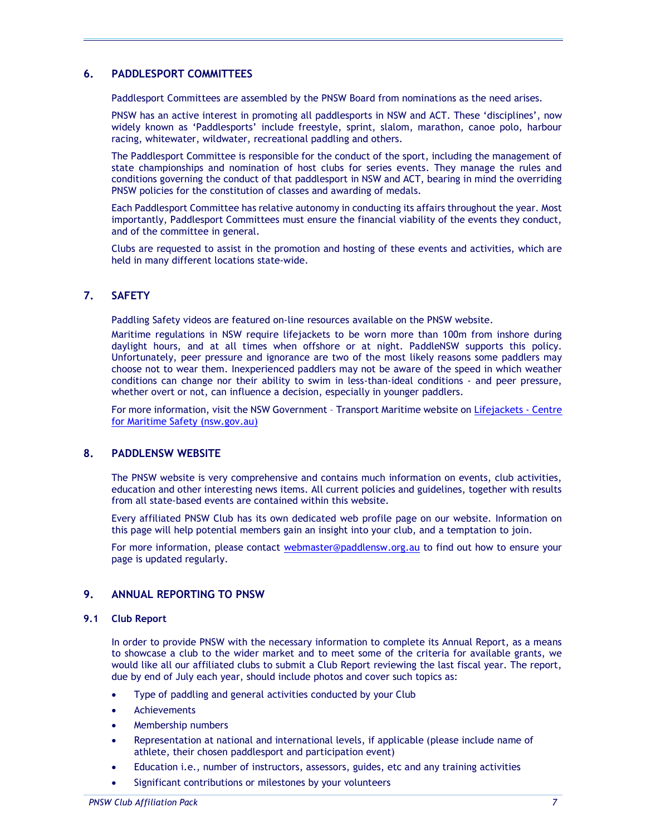# 6. PADDLESPORT COMMITTEES

Paddlesport Committees are assembled by the PNSW Board from nominations as the need arises.

PNSW has an active interest in promoting all paddlesports in NSW and ACT. These 'disciplines', now widely known as 'Paddlesports' include freestyle, sprint, slalom, marathon, canoe polo, harbour racing, whitewater, wildwater, recreational paddling and others.

The Paddlesport Committee is responsible for the conduct of the sport, including the management of state championships and nomination of host clubs for series events. They manage the rules and conditions governing the conduct of that paddlesport in NSW and ACT, bearing in mind the overriding PNSW policies for the constitution of classes and awarding of medals.

Each Paddlesport Committee has relative autonomy in conducting its affairs throughout the year. Most importantly, Paddlesport Committees must ensure the financial viability of the events they conduct, and of the committee in general.

Clubs are requested to assist in the promotion and hosting of these events and activities, which are held in many different locations state-wide.

# 7. SAFETY

Paddling Safety videos are featured on-line resources available on the PNSW website.

Maritime regulations in NSW require lifejackets to be worn more than 100m from inshore during daylight hours, and at all times when offshore or at night. PaddleNSW supports this policy. Unfortunately, peer pressure and ignorance are two of the most likely reasons some paddlers may choose not to wear them. Inexperienced paddlers may not be aware of the speed in which weather conditions can change nor their ability to swim in less-than-ideal conditions - and peer pressure, whether overt or not, can influence a decision, especially in younger paddlers.

For more information, visit the NSW Government – Transport Maritime website on Lifejackets - Centre for Maritime Safety (nsw.gov.au)

# 8. PADDLENSW WEBSITE

The PNSW website is very comprehensive and contains much information on events, club activities, education and other interesting news items. All current policies and guidelines, together with results from all state-based events are contained within this website.

Every affiliated PNSW Club has its own dedicated web profile page on our website. Information on this page will help potential members gain an insight into your club, and a temptation to join.

For more information, please contact webmaster@paddlensw.org.au to find out how to ensure your page is updated regularly.

# 9. ANNUAL REPORTING TO PNSW

#### 9.1 Club Report

In order to provide PNSW with the necessary information to complete its Annual Report, as a means to showcase a club to the wider market and to meet some of the criteria for available grants, we would like all our affiliated clubs to submit a Club Report reviewing the last fiscal year. The report, due by end of July each year, should include photos and cover such topics as:

- Type of paddling and general activities conducted by your Club
- Achievements
- Membership numbers
- Representation at national and international levels, if applicable (please include name of athlete, their chosen paddlesport and participation event)
- Education i.e., number of instructors, assessors, guides, etc and any training activities
- Significant contributions or milestones by your volunteers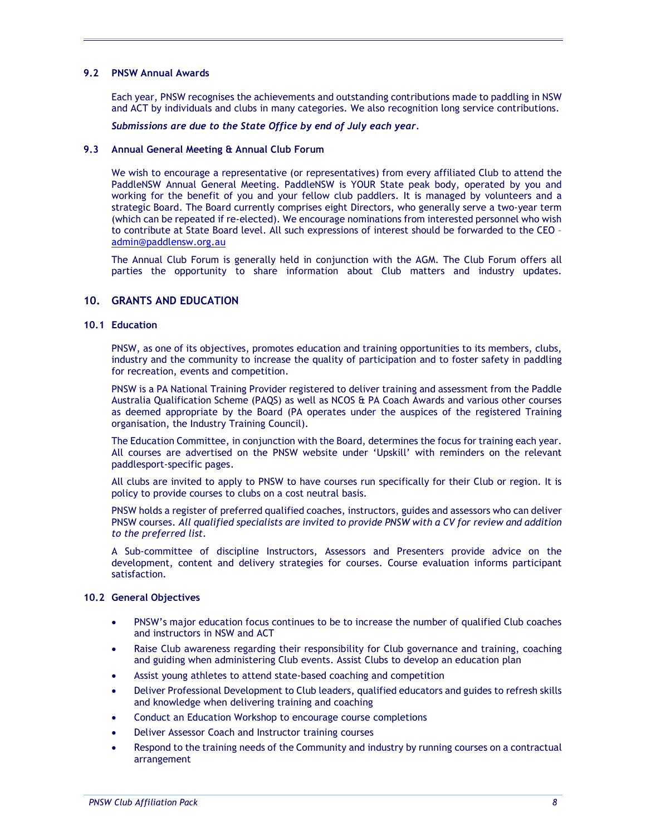#### 9.2 PNSW Annual Awards

Each year, PNSW recognises the achievements and outstanding contributions made to paddling in NSW and ACT by individuals and clubs in many categories. We also recognition long service contributions.

Submissions are due to the State Office by end of July each year.

#### 9.3 Annual General Meeting & Annual Club Forum

We wish to encourage a representative (or representatives) from every affiliated Club to attend the PaddleNSW Annual General Meeting. PaddleNSW is YOUR State peak body, operated by you and working for the benefit of you and your fellow club paddlers. It is managed by volunteers and a strategic Board. The Board currently comprises eight Directors, who generally serve a two-year term (which can be repeated if re-elected). We encourage nominations from interested personnel who wish to contribute at State Board level. All such expressions of interest should be forwarded to the CEO – admin@paddlensw.org.au

The Annual Club Forum is generally held in conjunction with the AGM. The Club Forum offers all parties the opportunity to share information about Club matters and industry updates.

# 10. GRANTS AND EDUCATION

#### 10.1 Education

PNSW, as one of its objectives, promotes education and training opportunities to its members, clubs, industry and the community to increase the quality of participation and to foster safety in paddling for recreation, events and competition.

PNSW is a PA National Training Provider registered to deliver training and assessment from the Paddle Australia Qualification Scheme (PAQS) as well as NCOS & PA Coach Awards and various other courses as deemed appropriate by the Board (PA operates under the auspices of the registered Training organisation, the Industry Training Council).

The Education Committee, in conjunction with the Board, determines the focus for training each year. All courses are advertised on the PNSW website under 'Upskill' with reminders on the relevant paddlesport-specific pages.

All clubs are invited to apply to PNSW to have courses run specifically for their Club or region. It is policy to provide courses to clubs on a cost neutral basis.

PNSW holds a register of preferred qualified coaches, instructors, guides and assessors who can deliver PNSW courses. All qualified specialists are invited to provide PNSW with a CV for review and addition to the preferred list.

A Sub-committee of discipline Instructors, Assessors and Presenters provide advice on the development, content and delivery strategies for courses. Course evaluation informs participant satisfaction.

# 10.2 General Objectives

- PNSW's major education focus continues to be to increase the number of qualified Club coaches and instructors in NSW and ACT
- Raise Club awareness regarding their responsibility for Club governance and training, coaching and guiding when administering Club events. Assist Clubs to develop an education plan
- Assist young athletes to attend state-based coaching and competition
- Deliver Professional Development to Club leaders, qualified educators and guides to refresh skills and knowledge when delivering training and coaching
- Conduct an Education Workshop to encourage course completions
- Deliver Assessor Coach and Instructor training courses
- Respond to the training needs of the Community and industry by running courses on a contractual arrangement